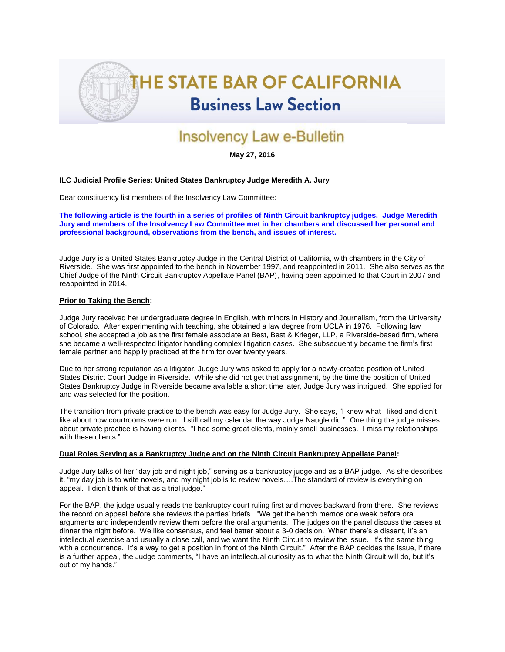

# Insolvency Law e-Bulletin

**May 27, 2016**

## **ILC Judicial Profile Series: United States Bankruptcy Judge Meredith A. Jury**

Dear constituency list members of the Insolvency Law Committee:

**The following article is the fourth in a series of profiles of Ninth Circuit bankruptcy judges. Judge Meredith Jury and members of the Insolvency Law Committee met in her chambers and discussed her personal and professional background, observations from the bench, and issues of interest.**

Judge Jury is a United States Bankruptcy Judge in the Central District of California, with chambers in the City of Riverside. She was first appointed to the bench in November 1997, and reappointed in 2011. She also serves as the Chief Judge of the Ninth Circuit Bankruptcy Appellate Panel (BAP), having been appointed to that Court in 2007 and reappointed in 2014.

### **Prior to Taking the Bench:**

Judge Jury received her undergraduate degree in English, with minors in History and Journalism, from the University of Colorado. After experimenting with teaching, she obtained a law degree from UCLA in 1976. Following law school, she accepted a job as the first female associate at Best, Best & Krieger, LLP, a Riverside-based firm, where she became a well-respected litigator handling complex litigation cases. She subsequently became the firm's first female partner and happily practiced at the firm for over twenty years.

Due to her strong reputation as a litigator, Judge Jury was asked to apply for a newly-created position of United States District Court Judge in Riverside. While she did not get that assignment, by the time the position of United States Bankruptcy Judge in Riverside became available a short time later, Judge Jury was intrigued. She applied for and was selected for the position.

The transition from private practice to the bench was easy for Judge Jury. She says, "I knew what I liked and didn't like about how courtrooms were run. I still call my calendar the way Judge Naugle did." One thing the judge misses about private practice is having clients. "I had some great clients, mainly small businesses. I miss my relationships with these clients."

#### **Dual Roles Serving as a Bankruptcy Judge and on the Ninth Circuit Bankruptcy Appellate Panel:**

Judge Jury talks of her "day job and night job," serving as a bankruptcy judge and as a BAP judge. As she describes it, "my day job is to write novels, and my night job is to review novels….The standard of review is everything on appeal. I didn't think of that as a trial judge."

For the BAP, the judge usually reads the bankruptcy court ruling first and moves backward from there. She reviews the record on appeal before she reviews the parties' briefs. "We get the bench memos one week before oral arguments and independently review them before the oral arguments. The judges on the panel discuss the cases at dinner the night before. We like consensus, and feel better about a 3-0 decision. When there's a dissent, it's an intellectual exercise and usually a close call, and we want the Ninth Circuit to review the issue. It's the same thing with a concurrence. It's a way to get a position in front of the Ninth Circuit." After the BAP decides the issue, if there is a further appeal, the Judge comments, "I have an intellectual curiosity as to what the Ninth Circuit will do, but it's out of my hands."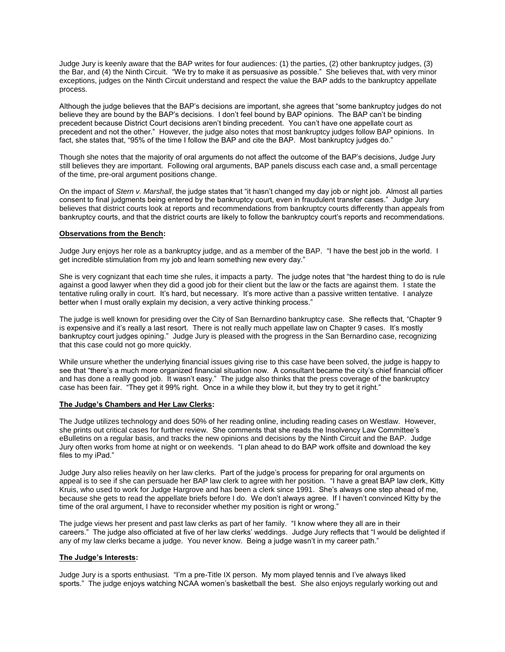Judge Jury is keenly aware that the BAP writes for four audiences: (1) the parties, (2) other bankruptcy judges, (3) the Bar, and (4) the Ninth Circuit. "We try to make it as persuasive as possible." She believes that, with very minor exceptions, judges on the Ninth Circuit understand and respect the value the BAP adds to the bankruptcy appellate process.

Although the judge believes that the BAP's decisions are important, she agrees that "some bankruptcy judges do not believe they are bound by the BAP's decisions. I don't feel bound by BAP opinions. The BAP can't be binding precedent because District Court decisions aren't binding precedent. You can't have one appellate court as precedent and not the other." However, the judge also notes that most bankruptcy judges follow BAP opinions. In fact, she states that, "95% of the time I follow the BAP and cite the BAP. Most bankruptcy judges do."

Though she notes that the majority of oral arguments do not affect the outcome of the BAP's decisions, Judge Jury still believes they are important. Following oral arguments, BAP panels discuss each case and, a small percentage of the time, pre-oral argument positions change.

On the impact of *Stern v. Marshall*, the judge states that "it hasn't changed my day job or night job. Almost all parties consent to final judgments being entered by the bankruptcy court, even in fraudulent transfer cases." Judge Jury believes that district courts look at reports and recommendations from bankruptcy courts differently than appeals from bankruptcy courts, and that the district courts are likely to follow the bankruptcy court's reports and recommendations.

## **Observations from the Bench:**

Judge Jury enjoys her role as a bankruptcy judge, and as a member of the BAP. "I have the best job in the world. I get incredible stimulation from my job and learn something new every day."

She is very cognizant that each time she rules, it impacts a party. The judge notes that "the hardest thing to do is rule against a good lawyer when they did a good job for their client but the law or the facts are against them. I state the tentative ruling orally in court. It's hard, but necessary. It's more active than a passive written tentative. I analyze better when I must orally explain my decision, a very active thinking process."

The judge is well known for presiding over the City of San Bernardino bankruptcy case. She reflects that, "Chapter 9 is expensive and it's really a last resort. There is not really much appellate law on Chapter 9 cases. It's mostly bankruptcy court judges opining." Judge Jury is pleased with the progress in the San Bernardino case, recognizing that this case could not go more quickly.

While unsure whether the underlying financial issues giving rise to this case have been solved, the judge is happy to see that "there's a much more organized financial situation now. A consultant became the city's chief financial officer and has done a really good job. It wasn't easy." The judge also thinks that the press coverage of the bankruptcy case has been fair. "They get it 99% right. Once in a while they blow it, but they try to get it right."

#### **The Judge's Chambers and Her Law Clerks:**

The Judge utilizes technology and does 50% of her reading online, including reading cases on Westlaw. However, she prints out critical cases for further review. She comments that she reads the Insolvency Law Committee's eBulletins on a regular basis, and tracks the new opinions and decisions by the Ninth Circuit and the BAP. Judge Jury often works from home at night or on weekends. "I plan ahead to do BAP work offsite and download the key files to my iPad."

Judge Jury also relies heavily on her law clerks. Part of the judge's process for preparing for oral arguments on appeal is to see if she can persuade her BAP law clerk to agree with her position. "I have a great BAP law clerk, Kitty Kruis, who used to work for Judge Hargrove and has been a clerk since 1991. She's always one step ahead of me, because she gets to read the appellate briefs before I do. We don't always agree. If I haven't convinced Kitty by the time of the oral argument, I have to reconsider whether my position is right or wrong."

The judge views her present and past law clerks as part of her family. "I know where they all are in their careers." The judge also officiated at five of her law clerks' weddings. Judge Jury reflects that "I would be delighted if any of my law clerks became a judge. You never know. Being a judge wasn't in my career path."

## **The Judge's Interests:**

Judge Jury is a sports enthusiast. "I'm a pre-Title IX person. My mom played tennis and I've always liked sports." The judge enjoys watching NCAA women's basketball the best. She also enjoys regularly working out and